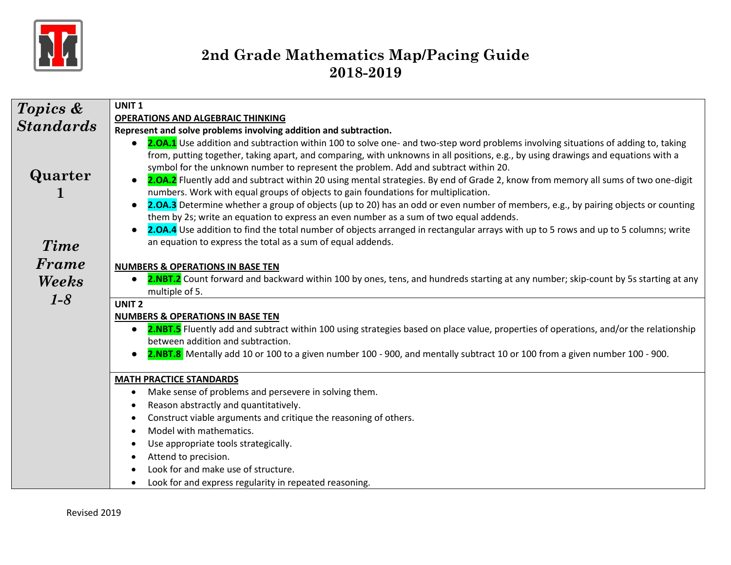

| <b>Topics &amp;</b>    | UNIT <sub>1</sub>                                                                                                                                                                                                                                                                                                                                                                                                                                                                                                                                                                                                                                                                                                                                                                                                                                                                                                                                                                                                                                                    |
|------------------------|----------------------------------------------------------------------------------------------------------------------------------------------------------------------------------------------------------------------------------------------------------------------------------------------------------------------------------------------------------------------------------------------------------------------------------------------------------------------------------------------------------------------------------------------------------------------------------------------------------------------------------------------------------------------------------------------------------------------------------------------------------------------------------------------------------------------------------------------------------------------------------------------------------------------------------------------------------------------------------------------------------------------------------------------------------------------|
| <b>Standards</b>       | <b>OPERATIONS AND ALGEBRAIC THINKING</b>                                                                                                                                                                                                                                                                                                                                                                                                                                                                                                                                                                                                                                                                                                                                                                                                                                                                                                                                                                                                                             |
|                        | Represent and solve problems involving addition and subtraction.                                                                                                                                                                                                                                                                                                                                                                                                                                                                                                                                                                                                                                                                                                                                                                                                                                                                                                                                                                                                     |
| Quarter<br><b>Time</b> | 2.0A.1 Use addition and subtraction within 100 to solve one- and two-step word problems involving situations of adding to, taking<br>from, putting together, taking apart, and comparing, with unknowns in all positions, e.g., by using drawings and equations with a<br>symbol for the unknown number to represent the problem. Add and subtract within 20.<br>2.0A.2 Fluently add and subtract within 20 using mental strategies. By end of Grade 2, know from memory all sums of two one-digit<br>$\bullet$<br>numbers. Work with equal groups of objects to gain foundations for multiplication.<br>2.0A.3 Determine whether a group of objects (up to 20) has an odd or even number of members, e.g., by pairing objects or counting<br>$\bullet$<br>them by 2s; write an equation to express an even number as a sum of two equal addends.<br>2.0A.4 Use addition to find the total number of objects arranged in rectangular arrays with up to 5 rows and up to 5 columns; write<br>$\bullet$<br>an equation to express the total as a sum of equal addends. |
| Frame                  |                                                                                                                                                                                                                                                                                                                                                                                                                                                                                                                                                                                                                                                                                                                                                                                                                                                                                                                                                                                                                                                                      |
|                        | <b>NUMBERS &amp; OPERATIONS IN BASE TEN</b>                                                                                                                                                                                                                                                                                                                                                                                                                                                                                                                                                                                                                                                                                                                                                                                                                                                                                                                                                                                                                          |
| Weeks                  | 2.NBT.2 Count forward and backward within 100 by ones, tens, and hundreds starting at any number; skip-count by 5s starting at any<br>$\bullet$                                                                                                                                                                                                                                                                                                                                                                                                                                                                                                                                                                                                                                                                                                                                                                                                                                                                                                                      |
| $1-8$                  | multiple of 5.<br><b>UNIT 2</b>                                                                                                                                                                                                                                                                                                                                                                                                                                                                                                                                                                                                                                                                                                                                                                                                                                                                                                                                                                                                                                      |
|                        | <b>NUMBERS &amp; OPERATIONS IN BASE TEN</b>                                                                                                                                                                                                                                                                                                                                                                                                                                                                                                                                                                                                                                                                                                                                                                                                                                                                                                                                                                                                                          |
|                        | 2.NBT.5 Fluently add and subtract within 100 using strategies based on place value, properties of operations, and/or the relationship<br>$\bullet$                                                                                                                                                                                                                                                                                                                                                                                                                                                                                                                                                                                                                                                                                                                                                                                                                                                                                                                   |
|                        | between addition and subtraction.                                                                                                                                                                                                                                                                                                                                                                                                                                                                                                                                                                                                                                                                                                                                                                                                                                                                                                                                                                                                                                    |
|                        | 2.NBT.8 Mentally add 10 or 100 to a given number 100 - 900, and mentally subtract 10 or 100 from a given number 100 - 900.<br>$\bullet$                                                                                                                                                                                                                                                                                                                                                                                                                                                                                                                                                                                                                                                                                                                                                                                                                                                                                                                              |
|                        | <b>MATH PRACTICE STANDARDS</b>                                                                                                                                                                                                                                                                                                                                                                                                                                                                                                                                                                                                                                                                                                                                                                                                                                                                                                                                                                                                                                       |
|                        | Make sense of problems and persevere in solving them.<br>$\bullet$                                                                                                                                                                                                                                                                                                                                                                                                                                                                                                                                                                                                                                                                                                                                                                                                                                                                                                                                                                                                   |
|                        | Reason abstractly and quantitatively.<br>$\bullet$                                                                                                                                                                                                                                                                                                                                                                                                                                                                                                                                                                                                                                                                                                                                                                                                                                                                                                                                                                                                                   |
|                        | Construct viable arguments and critique the reasoning of others.<br>٠                                                                                                                                                                                                                                                                                                                                                                                                                                                                                                                                                                                                                                                                                                                                                                                                                                                                                                                                                                                                |
|                        | Model with mathematics.<br>٠                                                                                                                                                                                                                                                                                                                                                                                                                                                                                                                                                                                                                                                                                                                                                                                                                                                                                                                                                                                                                                         |
|                        | Use appropriate tools strategically.                                                                                                                                                                                                                                                                                                                                                                                                                                                                                                                                                                                                                                                                                                                                                                                                                                                                                                                                                                                                                                 |
|                        | Attend to precision.<br>٠                                                                                                                                                                                                                                                                                                                                                                                                                                                                                                                                                                                                                                                                                                                                                                                                                                                                                                                                                                                                                                            |
|                        | Look for and make use of structure.<br>$\bullet$                                                                                                                                                                                                                                                                                                                                                                                                                                                                                                                                                                                                                                                                                                                                                                                                                                                                                                                                                                                                                     |
|                        | Look for and express regularity in repeated reasoning.<br>٠                                                                                                                                                                                                                                                                                                                                                                                                                                                                                                                                                                                                                                                                                                                                                                                                                                                                                                                                                                                                          |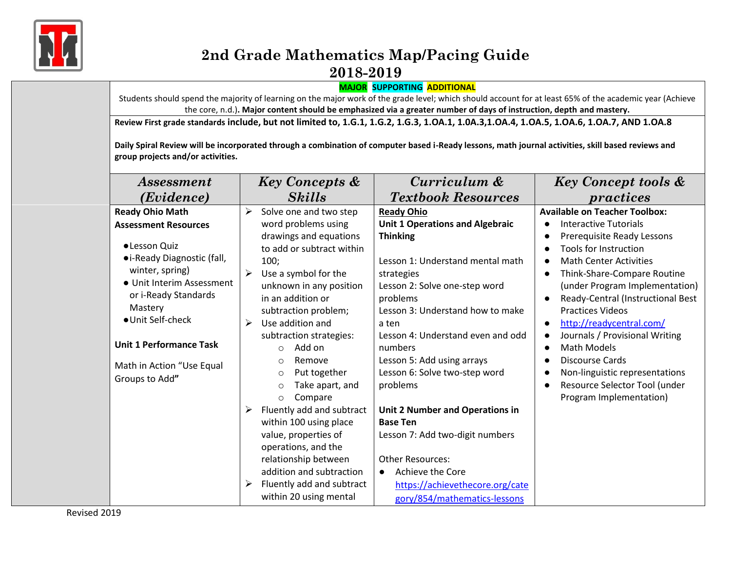

#### **MAJOR SUPPORTING ADDITIONAL**

Students should spend the majority of learning on the major work of the grade level; which should account for at least 65% of the academic year (Achieve the core, n.d.)**. Major content should be emphasized via a greater number of days of instruction, depth and mastery.**

**Review First grade standards include, but not limited to, 1.G.1, 1.G.2, 1.G.3, 1.OA.1, 1.0A.3,1.OA.4, 1.OA.5, 1.OA.6, 1.OA.7, AND 1.OA.8**

**Daily Spiral Review will be incorporated through a combination of computer based i-Ready lessons, math journal activities, skill based reviews and group projects and/or activities.**

| <i>Assessment</i>              | <b>Key Concepts &amp;</b><br><b>Skills</b><br>( <i>Evidence</i> ) |                            | Curriculum &                           |           | <b>Key Concept tools &amp;</b>       |
|--------------------------------|-------------------------------------------------------------------|----------------------------|----------------------------------------|-----------|--------------------------------------|
|                                |                                                                   |                            | <b>Textbook Resources</b>              |           | practices                            |
| <b>Ready Ohio Math</b>         | ➤                                                                 | Solve one and two step     | <b>Ready Ohio</b>                      |           | <b>Available on Teacher Toolbox:</b> |
| <b>Assessment Resources</b>    |                                                                   | word problems using        | <b>Unit 1 Operations and Algebraic</b> | $\bullet$ | <b>Interactive Tutorials</b>         |
|                                |                                                                   | drawings and equations     | <b>Thinking</b>                        | $\bullet$ | Prerequisite Ready Lessons           |
| • Lesson Quiz                  |                                                                   | to add or subtract within  |                                        |           | <b>Tools for Instruction</b>         |
| • i-Ready Diagnostic (fall,    |                                                                   | 100;                       | Lesson 1: Understand mental math       | $\bullet$ | <b>Math Center Activities</b>        |
| winter, spring)                | ➤                                                                 | Use a symbol for the       | strategies                             | $\bullet$ | Think-Share-Compare Routine          |
| • Unit Interim Assessment      |                                                                   | unknown in any position    | Lesson 2: Solve one-step word          |           | (under Program Implementation)       |
| or i-Ready Standards           |                                                                   | in an addition or          | problems                               | $\bullet$ | Ready-Central (Instructional Best    |
| Mastery                        |                                                                   | subtraction problem;       | Lesson 3: Understand how to make       |           | <b>Practices Videos</b>              |
| · Unit Self-check              | ➤                                                                 | Use addition and           | a ten                                  | $\bullet$ | http://readycentral.com/             |
|                                |                                                                   | subtraction strategies:    | Lesson 4: Understand even and odd      | $\bullet$ | Journals / Provisional Writing       |
| <b>Unit 1 Performance Task</b> |                                                                   | Add on<br>$\circ$          | numbers                                | $\bullet$ | Math Models                          |
| Math in Action "Use Equal      |                                                                   | Remove<br>$\circ$          | Lesson 5: Add using arrays             | $\bullet$ | <b>Discourse Cards</b>               |
| Groups to Add"                 |                                                                   | Put together<br>$\circ$    | Lesson 6: Solve two-step word          | $\bullet$ | Non-linguistic representations       |
|                                |                                                                   | Take apart, and<br>$\circ$ | problems                               | $\bullet$ | Resource Selector Tool (under        |
|                                |                                                                   | Compare<br>$\circ$         |                                        |           | Program Implementation)              |
|                                |                                                                   | Fluently add and subtract  | Unit 2 Number and Operations in        |           |                                      |
|                                |                                                                   | within 100 using place     | <b>Base Ten</b>                        |           |                                      |
|                                |                                                                   | value, properties of       | Lesson 7: Add two-digit numbers        |           |                                      |
|                                |                                                                   | operations, and the        |                                        |           |                                      |
|                                |                                                                   | relationship between       | <b>Other Resources:</b>                |           |                                      |
|                                |                                                                   | addition and subtraction   | Achieve the Core<br>$\bullet$          |           |                                      |
|                                | ➤                                                                 | Fluently add and subtract  | https://achievethecore.org/cate        |           |                                      |
|                                |                                                                   | within 20 using mental     | gory/854/mathematics-lessons           |           |                                      |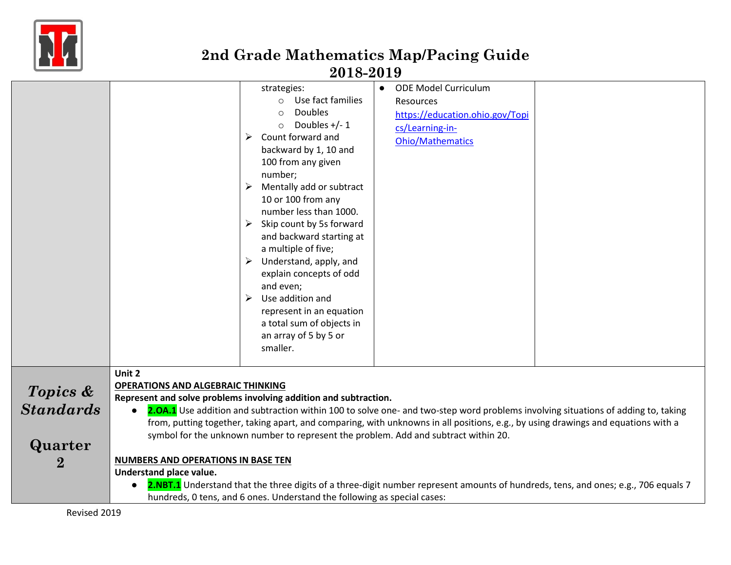

|                                                     | strategies:<br>Use fact families<br>$\circ$<br>Doubles<br>$\circ$<br>Doubles $+/- 1$<br>$\circ$<br>Count forward and<br>➤<br>backward by 1, 10 and<br>100 from any given<br>number;<br>Mentally add or subtract<br>10 or 100 from any<br>number less than 1000.<br>Skip count by 5s forward<br>➤<br>and backward starting at<br>a multiple of five;<br>Understand, apply, and<br>➤<br>explain concepts of odd<br>and even;<br>Use addition and<br>➤<br>represent in an equation<br>a total sum of objects in<br>an array of 5 by 5 or<br>smaller. | <b>ODE Model Curriculum</b><br>$\bullet$<br>Resources<br>https://education.ohio.gov/Topi<br>cs/Learning-in-<br><b>Ohio/Mathematics</b>                                                                                                                                 |
|-----------------------------------------------------|---------------------------------------------------------------------------------------------------------------------------------------------------------------------------------------------------------------------------------------------------------------------------------------------------------------------------------------------------------------------------------------------------------------------------------------------------------------------------------------------------------------------------------------------------|------------------------------------------------------------------------------------------------------------------------------------------------------------------------------------------------------------------------------------------------------------------------|
| Topics &<br><b>Standards</b><br>Quarter<br>$\bf{2}$ | Unit 2<br><b>OPERATIONS AND ALGEBRAIC THINKING</b><br>Represent and solve problems involving addition and subtraction.<br>$\bullet$<br>symbol for the unknown number to represent the problem. Add and subtract within 20.<br><b>NUMBERS AND OPERATIONS IN BASE TEN</b><br>Understand place value.                                                                                                                                                                                                                                                | 2.0A.1 Use addition and subtraction within 100 to solve one- and two-step word problems involving situations of adding to, taking<br>from, putting together, taking apart, and comparing, with unknowns in all positions, e.g., by using drawings and equations with a |
|                                                     | hundreds, 0 tens, and 6 ones. Understand the following as special cases:                                                                                                                                                                                                                                                                                                                                                                                                                                                                          | 2.NBT.1 Understand that the three digits of a three-digit number represent amounts of hundreds, tens, and ones; e.g., 706 equals 7                                                                                                                                     |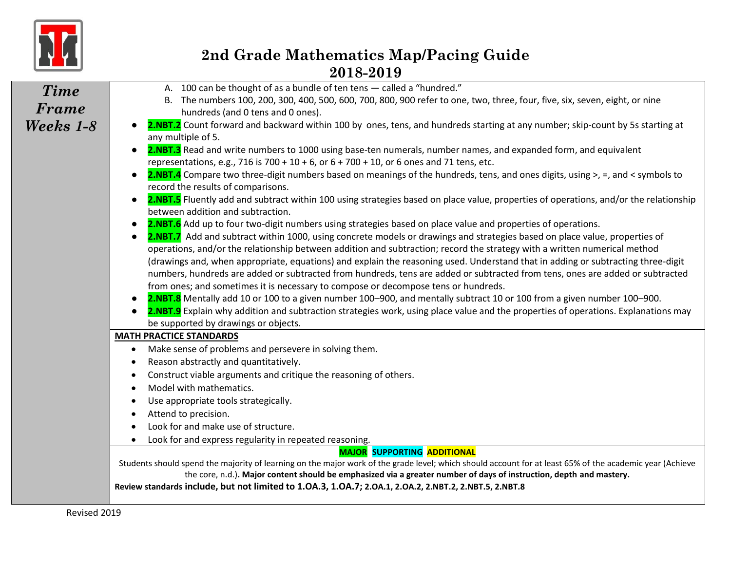

| <b>Time</b> | A. 100 can be thought of as a bundle of ten tens - called a "hundred."                                                                                                                                                                                  |
|-------------|---------------------------------------------------------------------------------------------------------------------------------------------------------------------------------------------------------------------------------------------------------|
|             | B. The numbers 100, 200, 300, 400, 500, 600, 700, 800, 900 refer to one, two, three, four, five, six, seven, eight, or nine                                                                                                                             |
| Frame       | hundreds (and 0 tens and 0 ones).                                                                                                                                                                                                                       |
| Weeks 1-8   | 2.NBT.2 Count forward and backward within 100 by ones, tens, and hundreds starting at any number; skip-count by 5s starting at                                                                                                                          |
|             | any multiple of 5.                                                                                                                                                                                                                                      |
|             | 2.NBT.3 Read and write numbers to 1000 using base-ten numerals, number names, and expanded form, and equivalent                                                                                                                                         |
|             | representations, e.g., 716 is 700 + 10 + 6, or 6 + 700 + 10, or 6 ones and 71 tens, etc.                                                                                                                                                                |
|             | 2.NBT.4 Compare two three-digit numbers based on meanings of the hundreds, tens, and ones digits, using >, =, and < symbols to                                                                                                                          |
|             | record the results of comparisons.                                                                                                                                                                                                                      |
|             | 2.NBT.5 Fluently add and subtract within 100 using strategies based on place value, properties of operations, and/or the relationship                                                                                                                   |
|             | between addition and subtraction.                                                                                                                                                                                                                       |
|             | 2.NBT.6 Add up to four two-digit numbers using strategies based on place value and properties of operations.                                                                                                                                            |
|             | 2.NBT.7 Add and subtract within 1000, using concrete models or drawings and strategies based on place value, properties of<br>operations, and/or the relationship between addition and subtraction; record the strategy with a written numerical method |
|             | (drawings and, when appropriate, equations) and explain the reasoning used. Understand that in adding or subtracting three-digit                                                                                                                        |
|             | numbers, hundreds are added or subtracted from hundreds, tens are added or subtracted from tens, ones are added or subtracted                                                                                                                           |
|             | from ones; and sometimes it is necessary to compose or decompose tens or hundreds.                                                                                                                                                                      |
|             | 2.NBT.8 Mentally add 10 or 100 to a given number 100-900, and mentally subtract 10 or 100 from a given number 100-900.                                                                                                                                  |
|             | 2.NBT.9 Explain why addition and subtraction strategies work, using place value and the properties of operations. Explanations may                                                                                                                      |
|             | be supported by drawings or objects.                                                                                                                                                                                                                    |
|             | <b>MATH PRACTICE STANDARDS</b>                                                                                                                                                                                                                          |
|             | Make sense of problems and persevere in solving them.<br>$\bullet$                                                                                                                                                                                      |
|             | Reason abstractly and quantitatively.                                                                                                                                                                                                                   |
|             | Construct viable arguments and critique the reasoning of others.                                                                                                                                                                                        |
|             | Model with mathematics.                                                                                                                                                                                                                                 |
|             | Use appropriate tools strategically.                                                                                                                                                                                                                    |
|             | Attend to precision.                                                                                                                                                                                                                                    |
|             | Look for and make use of structure.                                                                                                                                                                                                                     |
|             | Look for and express regularity in repeated reasoning.                                                                                                                                                                                                  |
|             | <b>MAJOR SUPPORTING ADDITIONAL</b>                                                                                                                                                                                                                      |
|             | Students should spend the majority of learning on the major work of the grade level; which should account for at least 65% of the academic year (Achieve                                                                                                |
|             | the core, n.d.). Major content should be emphasized via a greater number of days of instruction, depth and mastery.<br>Review standards include, but not limited to 1.0A.3, 1.0A.7; 2.0A.1, 2.0A.2, 2.NBT.2, 2.NBT.5, 2.NBT.8                           |
|             |                                                                                                                                                                                                                                                         |
|             |                                                                                                                                                                                                                                                         |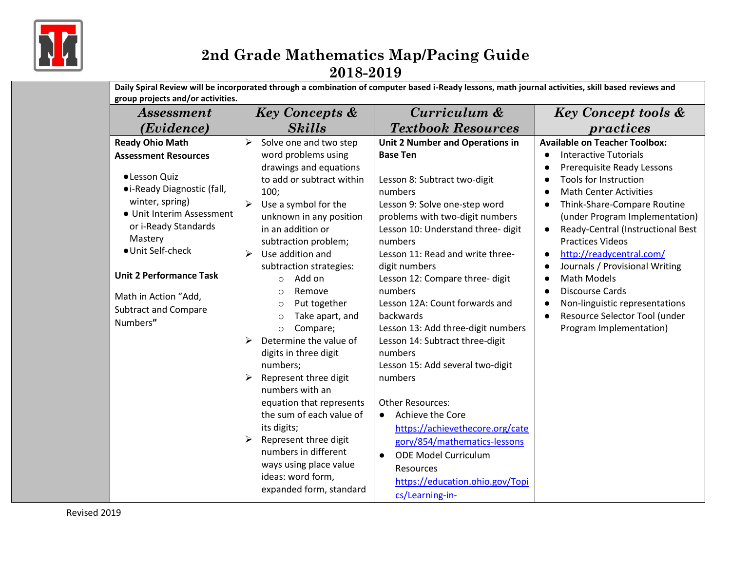

| <i><b>Assessment</b></i>                                                                                                                                                                                                                                                                 | <b>Key Concepts &amp;</b>                                                                                                                                                                                                                                                                                                                                                                                                                                                                                                                                                                                                                                                        | Curriculum &                                                                                                                                                                                                                                                                                                                                                                                                                                                                                                                                                                                                                                                                                    | <b>Key Concept tools &amp;</b>                                                                                                                                                                                                                                                                                                                                                                                                                                                                                                     |  |
|------------------------------------------------------------------------------------------------------------------------------------------------------------------------------------------------------------------------------------------------------------------------------------------|----------------------------------------------------------------------------------------------------------------------------------------------------------------------------------------------------------------------------------------------------------------------------------------------------------------------------------------------------------------------------------------------------------------------------------------------------------------------------------------------------------------------------------------------------------------------------------------------------------------------------------------------------------------------------------|-------------------------------------------------------------------------------------------------------------------------------------------------------------------------------------------------------------------------------------------------------------------------------------------------------------------------------------------------------------------------------------------------------------------------------------------------------------------------------------------------------------------------------------------------------------------------------------------------------------------------------------------------------------------------------------------------|------------------------------------------------------------------------------------------------------------------------------------------------------------------------------------------------------------------------------------------------------------------------------------------------------------------------------------------------------------------------------------------------------------------------------------------------------------------------------------------------------------------------------------|--|
| ( <i>Evidence</i> )                                                                                                                                                                                                                                                                      | <b>Skills</b>                                                                                                                                                                                                                                                                                                                                                                                                                                                                                                                                                                                                                                                                    | <b>Textbook Resources</b>                                                                                                                                                                                                                                                                                                                                                                                                                                                                                                                                                                                                                                                                       | practices                                                                                                                                                                                                                                                                                                                                                                                                                                                                                                                          |  |
| <b>Ready Ohio Math</b>                                                                                                                                                                                                                                                                   | Solve one and two step<br>➤                                                                                                                                                                                                                                                                                                                                                                                                                                                                                                                                                                                                                                                      | <b>Unit 2 Number and Operations in</b>                                                                                                                                                                                                                                                                                                                                                                                                                                                                                                                                                                                                                                                          | <b>Available on Teacher Toolbox:</b>                                                                                                                                                                                                                                                                                                                                                                                                                                                                                               |  |
| <b>Assessment Resources</b><br>· Lesson Quiz<br>• i-Ready Diagnostic (fall,<br>winter, spring)<br>· Unit Interim Assessment<br>or i-Ready Standards<br>Mastery<br>· Unit Self-check<br><b>Unit 2 Performance Task</b><br>Math in Action "Add,<br><b>Subtract and Compare</b><br>Numbers" | word problems using<br>drawings and equations<br>to add or subtract within<br>100:<br>$\blacktriangleright$<br>Use a symbol for the<br>unknown in any position<br>in an addition or<br>subtraction problem;<br>Use addition and<br>➤<br>subtraction strategies:<br>Add on<br>$\circ$<br>Remove<br>$\circ$<br>Put together<br>$\circ$<br>Take apart, and<br>$\circ$<br>Compare;<br>$\circ$<br>Determine the value of<br>➤<br>digits in three digit<br>numbers;<br>Represent three digit<br>numbers with an<br>equation that represents<br>the sum of each value of<br>its digits;<br>Represent three digit<br>numbers in different<br>ways using place value<br>ideas: word form, | <b>Base Ten</b><br>Lesson 8: Subtract two-digit<br>numbers<br>Lesson 9: Solve one-step word<br>problems with two-digit numbers<br>Lesson 10: Understand three- digit<br>numbers<br>Lesson 11: Read and write three-<br>digit numbers<br>Lesson 12: Compare three- digit<br>numbers<br>Lesson 12A: Count forwards and<br>backwards<br>Lesson 13: Add three-digit numbers<br>Lesson 14: Subtract three-digit<br>numbers<br>Lesson 15: Add several two-digit<br>numbers<br><b>Other Resources:</b><br>Achieve the Core<br>$\bullet$<br>https://achievethecore.org/cate<br>gory/854/mathematics-lessons<br><b>ODE Model Curriculum</b><br>$\bullet$<br>Resources<br>https://education.ohio.gov/Topi | <b>Interactive Tutorials</b><br>Prerequisite Ready Lessons<br>Tools for Instruction<br><b>Math Center Activities</b><br>Think-Share-Compare Routine<br>(under Program Implementation)<br>Ready-Central (Instructional Best<br>$\bullet$<br><b>Practices Videos</b><br>http://readycentral.com/<br>$\bullet$<br>Journals / Provisional Writing<br>$\bullet$<br><b>Math Models</b><br><b>Discourse Cards</b><br>Non-linguistic representations<br>$\bullet$<br>Resource Selector Tool (under<br>$\bullet$<br>Program Implementation) |  |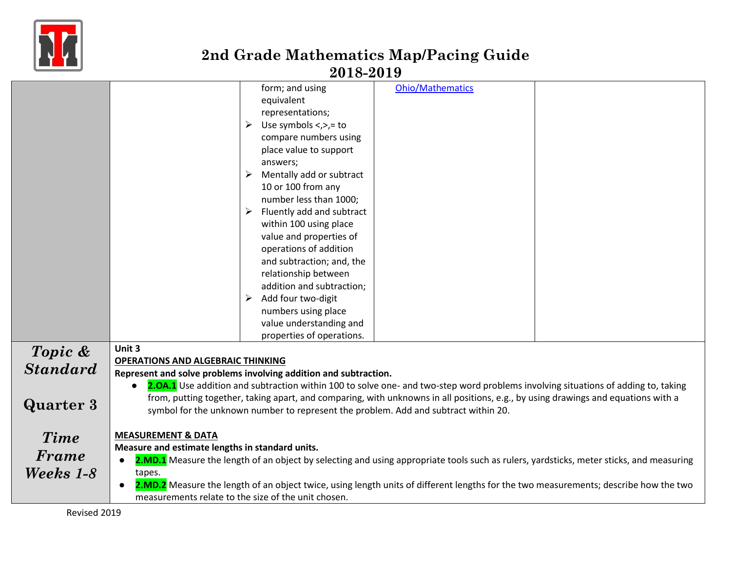

|                                             | form; and using<br>equivalent<br>representations;<br>Use symbols $\lt$ , $\gt$ ,= to<br>compare numbers using<br>place value to support<br>answers;<br>Mentally add or subtract                                                                                                                                                                                     | <b>Ohio/Mathematics</b> |  |  |
|---------------------------------------------|---------------------------------------------------------------------------------------------------------------------------------------------------------------------------------------------------------------------------------------------------------------------------------------------------------------------------------------------------------------------|-------------------------|--|--|
|                                             | 10 or 100 from any<br>number less than 1000;<br>Fluently add and subtract<br>within 100 using place<br>value and properties of<br>operations of addition<br>and subtraction; and, the<br>relationship between<br>addition and subtraction;<br>Add four two-digit<br>➤<br>numbers using place<br>value understanding and                                             |                         |  |  |
| Unit 3<br>Topic &<br><b>Standard</b>        | properties of operations.<br><b>OPERATIONS AND ALGEBRAIC THINKING</b><br>Represent and solve problems involving addition and subtraction.                                                                                                                                                                                                                           |                         |  |  |
| <b>Quarter 3</b>                            | 2.0A.1 Use addition and subtraction within 100 to solve one- and two-step word problems involving situations of adding to, taking<br>from, putting together, taking apart, and comparing, with unknowns in all positions, e.g., by using drawings and equations with a<br>symbol for the unknown number to represent the problem. Add and subtract within 20.       |                         |  |  |
| <b>Time</b><br>Frame<br>Weeks 1-8<br>tapes. | <b>MEASUREMENT &amp; DATA</b><br>Measure and estimate lengths in standard units.<br>2.MD.1 Measure the length of an object by selecting and using appropriate tools such as rulers, yardsticks, meter sticks, and measuring<br>2.MD.2 Measure the length of an object twice, using length units of different lengths for the two measurements; describe how the two |                         |  |  |
| $D = 12240$                                 | measurements relate to the size of the unit chosen.                                                                                                                                                                                                                                                                                                                 |                         |  |  |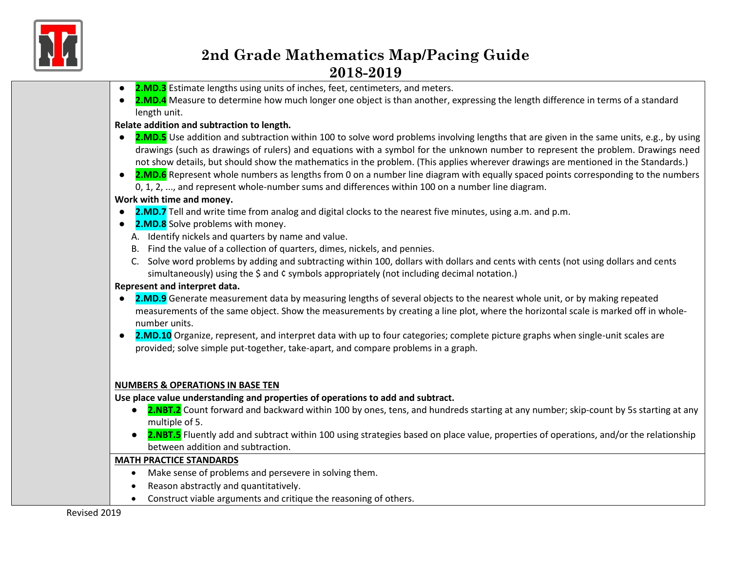

- **2.MD.3** Estimate lengths using units of inches, feet, centimeters, and meters.
- **2.MD.4** Measure to determine how much longer one object is than another, expressing the length difference in terms of a standard length unit.

#### **Relate addition and subtraction to length.**

- **2.MD.5** Use addition and subtraction within 100 to solve word problems involving lengths that are given in the same units, e.g., by using drawings (such as drawings of rulers) and equations with a symbol for the unknown number to represent the problem. Drawings need not show details, but should show the mathematics in the problem. (This applies wherever drawings are mentioned in the Standards.)
- **2.MD.6** Represent whole numbers as lengths from 0 on a number line diagram with equally spaced points corresponding to the numbers 0, 1, 2, ..., and represent whole-number sums and differences within 100 on a number line diagram.

#### **Work with time and money.**

- **2.MD.7** Tell and write time from analog and digital clocks to the nearest five minutes, using a.m. and p.m.
- **2.MD.8** Solve problems with money.
	- A. Identify nickels and quarters by name and value.
	- B. Find the value of a collection of quarters, dimes, nickels, and pennies.
	- C. Solve word problems by adding and subtracting within 100, dollars with dollars and cents with cents (not using dollars and cents simultaneously) using the \$ and ¢ symbols appropriately (not including decimal notation.)

#### **Represent and interpret data.**

- **2.MD.9** Generate measurement data by measuring lengths of several objects to the nearest whole unit, or by making repeated measurements of the same object. Show the measurements by creating a line plot, where the horizontal scale is marked off in wholenumber units.
- **2.MD.10** Organize, represent, and interpret data with up to four categories; complete picture graphs when single-unit scales are provided; solve simple put-together, take-apart, and compare problems in a graph.

#### **NUMBERS & OPERATIONS IN BASE TEN**

**Use place value understanding and properties of operations to add and subtract.**

- **2.NBT.2** Count forward and backward within 100 by ones, tens, and hundreds starting at any number; skip-count by 5s starting at any multiple of 5.
- 2.NBT.5 Fluently add and subtract within 100 using strategies based on place value, properties of operations, and/or the relationship between addition and subtraction.

#### **MATH PRACTICE STANDARDS**

- Make sense of problems and persevere in solving them.
- Reason abstractly and quantitatively.
- Construct viable arguments and critique the reasoning of others.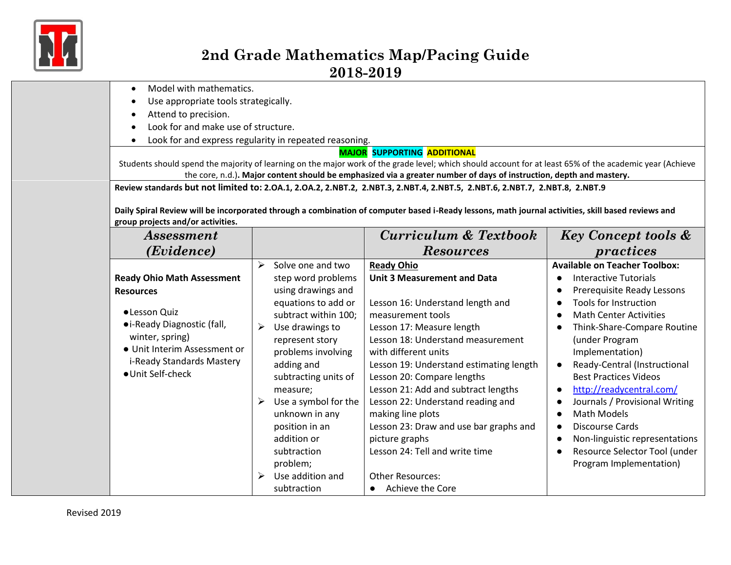

- Model with mathematics.
- Use appropriate tools strategically.
- Attend to precision.
- Look for and make use of structure.
- Look for and express regularity in repeated reasoning.

#### **MAJOR SUPPORTING ADDITIONAL**

Students should spend the majority of learning on the major work of the grade level; which should account for at least 65% of the academic year (Achieve the core, n.d.)**. Major content should be emphasized via a greater number of days of instruction, depth and mastery.**

**Review standards but not limited to: 2.OA.1, 2.OA.2, 2.NBT.2, 2.NBT.3, 2.NBT.4, 2.NBT.5, 2.NBT.6, 2.NBT.7, 2.NBT.8, 2.NBT.9**

**Daily Spiral Review will be incorporated through a combination of computer based i-Ready lessons, math journal activities, skill based reviews and group projects and/or activities.**

| <i>Assessment</i>                 |                           | Curriculum & Textbook                   | <b>Key Concept tools &amp;</b>       |
|-----------------------------------|---------------------------|-----------------------------------------|--------------------------------------|
| (Evidence)                        |                           | <b>Resources</b>                        | practices                            |
|                                   | ⋗<br>Solve one and two    | <b>Ready Ohio</b>                       | <b>Available on Teacher Toolbox:</b> |
| <b>Ready Ohio Math Assessment</b> | step word problems        | <b>Unit 3 Measurement and Data</b>      | <b>Interactive Tutorials</b>         |
| <b>Resources</b>                  | using drawings and        |                                         | Prerequisite Ready Lessons           |
|                                   | equations to add or       | Lesson 16: Understand length and        | Tools for Instruction                |
| • Lesson Quiz                     | subtract within 100;      | measurement tools                       | <b>Math Center Activities</b>        |
| • i-Ready Diagnostic (fall,       | ➤<br>Use drawings to      | Lesson 17: Measure length               | Think-Share-Compare Routine          |
| winter, spring)                   | represent story           | Lesson 18: Understand measurement       | (under Program                       |
| • Unit Interim Assessment or      | problems involving        | with different units                    | Implementation)                      |
| i-Ready Standards Mastery         | adding and                | Lesson 19: Understand estimating length | Ready-Central (Instructional         |
| · Unit Self-check                 | subtracting units of      | Lesson 20: Compare lengths              | <b>Best Practices Videos</b>         |
|                                   | measure;                  | Lesson 21: Add and subtract lengths     | http://readycentral.com/             |
|                                   | Use a symbol for the<br>≻ | Lesson 22: Understand reading and       | Journals / Provisional Writing       |
|                                   | unknown in any            | making line plots                       | Math Models                          |
|                                   | position in an            | Lesson 23: Draw and use bar graphs and  | Discourse Cards                      |
|                                   | addition or               | picture graphs                          | Non-linguistic representations       |
|                                   | subtraction               | Lesson 24: Tell and write time          | Resource Selector Tool (under        |
|                                   | problem;                  |                                         | Program Implementation)              |
|                                   | Use addition and<br>➤     | <b>Other Resources:</b>                 |                                      |
|                                   | subtraction               | Achieve the Core<br>$\bullet$           |                                      |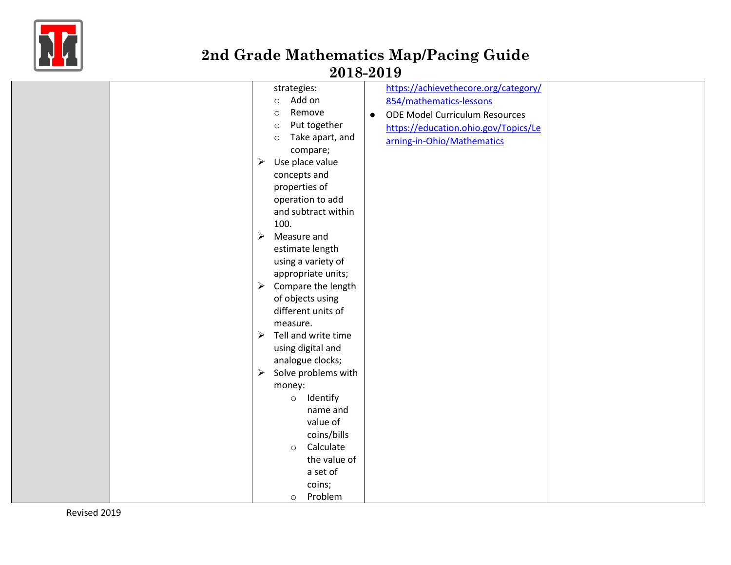

|  | strategies:                                  | https://achievethecore.org/category/               |  |
|--|----------------------------------------------|----------------------------------------------------|--|
|  | Add on<br>$\circ$                            | 854/mathematics-lessons                            |  |
|  | Remove<br>$\circ$                            | <b>ODE Model Curriculum Resources</b><br>$\bullet$ |  |
|  | Put together<br>$\circ$                      | https://education.ohio.gov/Topics/Le               |  |
|  | Take apart, and<br>$\circ$                   | arning-in-Ohio/Mathematics                         |  |
|  | compare;                                     |                                                    |  |
|  | Use place value<br>➤                         |                                                    |  |
|  | concepts and                                 |                                                    |  |
|  | properties of                                |                                                    |  |
|  | operation to add                             |                                                    |  |
|  | and subtract within                          |                                                    |  |
|  | 100.                                         |                                                    |  |
|  | Measure and<br>➤                             |                                                    |  |
|  | estimate length                              |                                                    |  |
|  | using a variety of                           |                                                    |  |
|  | appropriate units;                           |                                                    |  |
|  | Compare the length<br>$\triangleright$       |                                                    |  |
|  | of objects using                             |                                                    |  |
|  | different units of                           |                                                    |  |
|  | measure.                                     |                                                    |  |
|  | Tell and write time<br>$\blacktriangleright$ |                                                    |  |
|  | using digital and                            |                                                    |  |
|  | analogue clocks;                             |                                                    |  |
|  | Solve problems with<br>$\blacktriangleright$ |                                                    |  |
|  | money:                                       |                                                    |  |
|  | Identify<br>$\circ$                          |                                                    |  |
|  | name and                                     |                                                    |  |
|  | value of                                     |                                                    |  |
|  | coins/bills                                  |                                                    |  |
|  | Calculate                                    |                                                    |  |
|  | $\circ$<br>the value of                      |                                                    |  |
|  | a set of                                     |                                                    |  |
|  |                                              |                                                    |  |
|  | coins;                                       |                                                    |  |
|  | Problem<br>$\circ$                           |                                                    |  |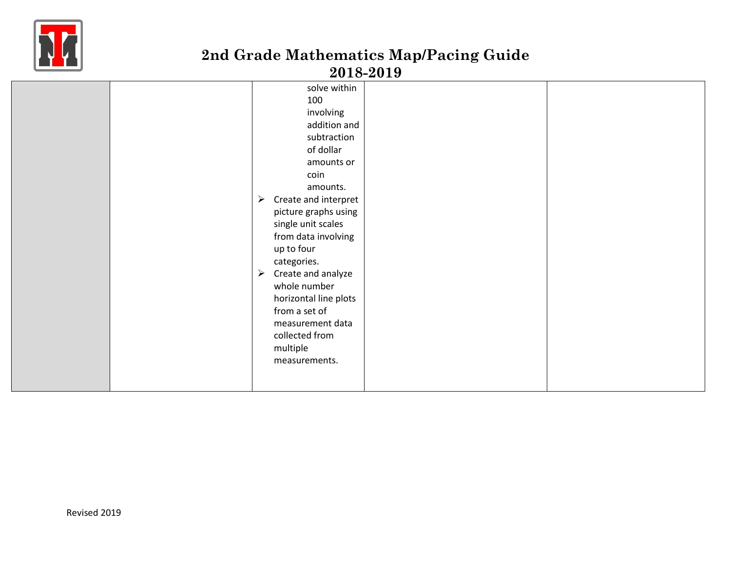

|  | solve within                                  |  |
|--|-----------------------------------------------|--|
|  | 100                                           |  |
|  | involving                                     |  |
|  | addition and                                  |  |
|  | subtraction                                   |  |
|  | of dollar                                     |  |
|  | amounts or                                    |  |
|  | coin                                          |  |
|  | amounts.                                      |  |
|  | Create and interpret<br>$\blacktriangleright$ |  |
|  | picture graphs using                          |  |
|  | single unit scales                            |  |
|  | from data involving                           |  |
|  | up to four                                    |  |
|  | categories.                                   |  |
|  | Create and analyze<br>$\blacktriangleright$   |  |
|  | whole number                                  |  |
|  | horizontal line plots                         |  |
|  | from a set of                                 |  |
|  | measurement data                              |  |
|  | collected from                                |  |
|  | multiple                                      |  |
|  | measurements.                                 |  |
|  |                                               |  |
|  |                                               |  |
|  |                                               |  |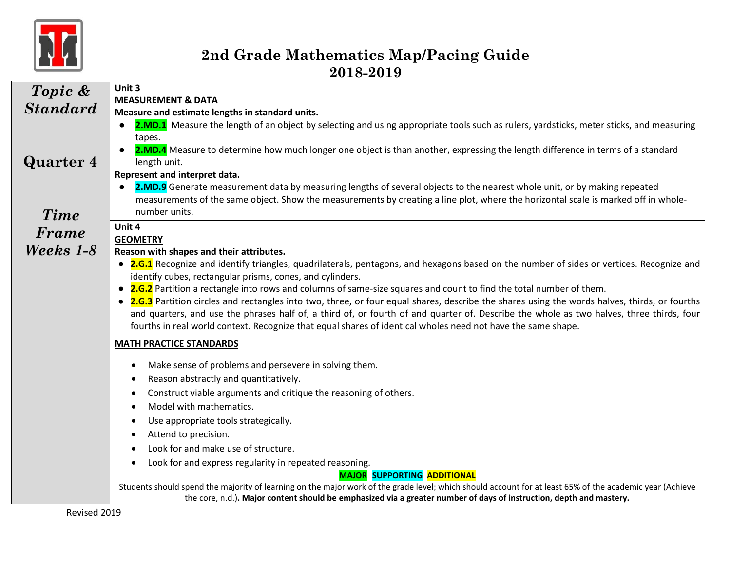

| Topic &         | Unit 3                                                                                                                                                                                                                                                                                     |  |  |  |  |  |
|-----------------|--------------------------------------------------------------------------------------------------------------------------------------------------------------------------------------------------------------------------------------------------------------------------------------------|--|--|--|--|--|
| <b>Standard</b> | <b>MEASUREMENT &amp; DATA</b>                                                                                                                                                                                                                                                              |  |  |  |  |  |
|                 | Measure and estimate lengths in standard units.                                                                                                                                                                                                                                            |  |  |  |  |  |
|                 | 2.MD.1 Measure the length of an object by selecting and using appropriate tools such as rulers, yardsticks, meter sticks, and measuring                                                                                                                                                    |  |  |  |  |  |
|                 | tapes.<br>2.MD.4 Measure to determine how much longer one object is than another, expressing the length difference in terms of a standard                                                                                                                                                  |  |  |  |  |  |
| Quarter 4       | length unit.                                                                                                                                                                                                                                                                               |  |  |  |  |  |
|                 | Represent and interpret data.                                                                                                                                                                                                                                                              |  |  |  |  |  |
|                 | 2.MD.9 Generate measurement data by measuring lengths of several objects to the nearest whole unit, or by making repeated                                                                                                                                                                  |  |  |  |  |  |
|                 | measurements of the same object. Show the measurements by creating a line plot, where the horizontal scale is marked off in whole-                                                                                                                                                         |  |  |  |  |  |
| <b>Time</b>     | number units.                                                                                                                                                                                                                                                                              |  |  |  |  |  |
| Frame           | Unit 4                                                                                                                                                                                                                                                                                     |  |  |  |  |  |
|                 | <b>GEOMETRY</b>                                                                                                                                                                                                                                                                            |  |  |  |  |  |
| Weeks 1-8       | Reason with shapes and their attributes.                                                                                                                                                                                                                                                   |  |  |  |  |  |
|                 | • 2.G.1 Recognize and identify triangles, quadrilaterals, pentagons, and hexagons based on the number of sides or vertices. Recognize and                                                                                                                                                  |  |  |  |  |  |
|                 | identify cubes, rectangular prisms, cones, and cylinders.                                                                                                                                                                                                                                  |  |  |  |  |  |
|                 | • 2.G.2 Partition a rectangle into rows and columns of same-size squares and count to find the total number of them.                                                                                                                                                                       |  |  |  |  |  |
|                 | • 2.G.3 Partition circles and rectangles into two, three, or four equal shares, describe the shares using the words halves, thirds, or fourths<br>and quarters, and use the phrases half of, a third of, or fourth of and quarter of. Describe the whole as two halves, three thirds, four |  |  |  |  |  |
|                 | fourths in real world context. Recognize that equal shares of identical wholes need not have the same shape.                                                                                                                                                                               |  |  |  |  |  |
|                 |                                                                                                                                                                                                                                                                                            |  |  |  |  |  |
|                 | <b>MATH PRACTICE STANDARDS</b>                                                                                                                                                                                                                                                             |  |  |  |  |  |
|                 | Make sense of problems and persevere in solving them.<br>$\bullet$                                                                                                                                                                                                                         |  |  |  |  |  |
|                 | Reason abstractly and quantitatively.<br>$\bullet$                                                                                                                                                                                                                                         |  |  |  |  |  |
|                 | Construct viable arguments and critique the reasoning of others.                                                                                                                                                                                                                           |  |  |  |  |  |
|                 | Model with mathematics.                                                                                                                                                                                                                                                                    |  |  |  |  |  |
|                 | Use appropriate tools strategically.                                                                                                                                                                                                                                                       |  |  |  |  |  |
|                 | Attend to precision.                                                                                                                                                                                                                                                                       |  |  |  |  |  |
|                 | Look for and make use of structure.                                                                                                                                                                                                                                                        |  |  |  |  |  |
|                 | Look for and express regularity in repeated reasoning.<br>$\bullet$                                                                                                                                                                                                                        |  |  |  |  |  |
|                 | <b>MAJOR SUPPORTING ADDITIONAL</b>                                                                                                                                                                                                                                                         |  |  |  |  |  |
|                 | Students should spend the majority of learning on the major work of the grade level; which should account for at least 65% of the academic year (Achieve                                                                                                                                   |  |  |  |  |  |
|                 | the core, n.d.). Major content should be emphasized via a greater number of days of instruction, depth and mastery.                                                                                                                                                                        |  |  |  |  |  |

 $\overline{\phantom{a}}$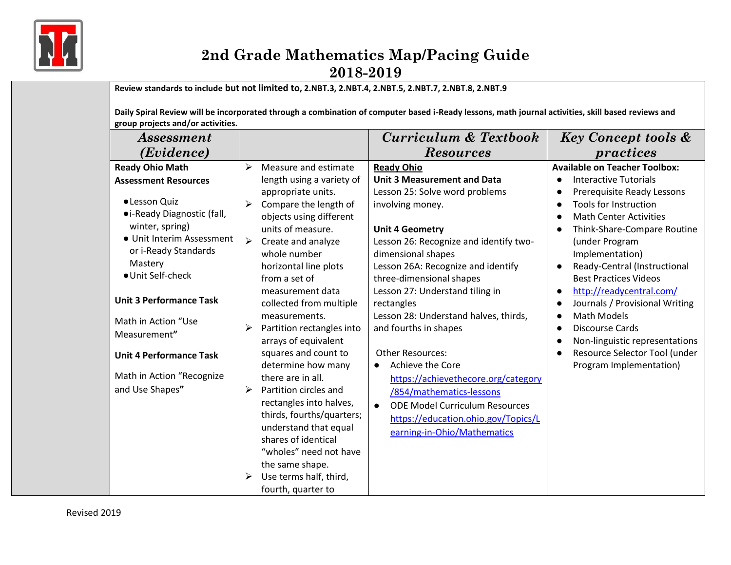

**Review standards to include but not limited to, 2.NBT.3, 2.NBT.4, 2.NBT.5, 2.NBT.7, 2.NBT.8, 2.NBT.9**

**Daily Spiral Review will be incorporated through a combination of computer based i-Ready lessons, math journal activities, skill based reviews and group projects and/or activities.**

| <i>Assessment</i>                                                                                                                                                                                             |                                                                                                                                                                                                                                                                                                                                                                                                                              | Curriculum & Textbook                                                                                                                                                                                                                                                                                                                                                             | <b>Key Concept tools &amp;</b>                                                                                                                                                                                                                                                                          |
|---------------------------------------------------------------------------------------------------------------------------------------------------------------------------------------------------------------|------------------------------------------------------------------------------------------------------------------------------------------------------------------------------------------------------------------------------------------------------------------------------------------------------------------------------------------------------------------------------------------------------------------------------|-----------------------------------------------------------------------------------------------------------------------------------------------------------------------------------------------------------------------------------------------------------------------------------------------------------------------------------------------------------------------------------|---------------------------------------------------------------------------------------------------------------------------------------------------------------------------------------------------------------------------------------------------------------------------------------------------------|
| (Evidence)                                                                                                                                                                                                    |                                                                                                                                                                                                                                                                                                                                                                                                                              | <b>Resources</b>                                                                                                                                                                                                                                                                                                                                                                  | practices                                                                                                                                                                                                                                                                                               |
| <b>Ready Ohio Math</b><br><b>Assessment Resources</b><br>· Lesson Quiz<br>• i-Ready Diagnostic (fall,<br>winter, spring)<br>• Unit Interim Assessment<br>or i-Ready Standards<br>Mastery<br>• Unit Self-check | Measure and estimate<br>$\blacktriangleright$<br>length using a variety of<br>appropriate units.<br>Compare the length of<br>➤<br>objects using different<br>units of measure.<br>➤<br>Create and analyze<br>whole number<br>horizontal line plots<br>from a set of                                                                                                                                                          | <b>Ready Ohio</b><br><b>Unit 3 Measurement and Data</b><br>Lesson 25: Solve word problems<br>involving money.<br><b>Unit 4 Geometry</b><br>Lesson 26: Recognize and identify two-<br>dimensional shapes<br>Lesson 26A: Recognize and identify<br>three-dimensional shapes                                                                                                         | <b>Available on Teacher Toolbox:</b><br><b>Interactive Tutorials</b><br>Prerequisite Ready Lessons<br><b>Tools for Instruction</b><br><b>Math Center Activities</b><br>Think-Share-Compare Routine<br>(under Program<br>Implementation)<br>Ready-Central (Instructional<br><b>Best Practices Videos</b> |
| <b>Unit 3 Performance Task</b><br>Math in Action "Use<br>Measurement"<br><b>Unit 4 Performance Task</b><br>Math in Action "Recognize<br>and Use Shapes"                                                       | measurement data<br>collected from multiple<br>measurements.<br>Partition rectangles into<br>➤<br>arrays of equivalent<br>squares and count to<br>determine how many<br>there are in all.<br>Partition circles and<br>≻<br>rectangles into halves,<br>thirds, fourths/quarters;<br>understand that equal<br>shares of identical<br>"wholes" need not have<br>the same shape.<br>Use terms half, third,<br>fourth, quarter to | Lesson 27: Understand tiling in<br>rectangles<br>Lesson 28: Understand halves, thirds,<br>and fourths in shapes<br><b>Other Resources:</b><br><b>Achieve the Core</b><br>$\bullet$<br>https://achievethecore.org/category<br>/854/mathematics-lessons<br><b>ODE Model Curriculum Resources</b><br>$\bullet$<br>https://education.ohio.gov/Topics/L<br>earning-in-Ohio/Mathematics | http://readycentral.com/<br>Journals / Provisional Writing<br><b>Math Models</b><br><b>Discourse Cards</b><br>Non-linguistic representations<br>Resource Selector Tool (under<br>Program Implementation)                                                                                                |